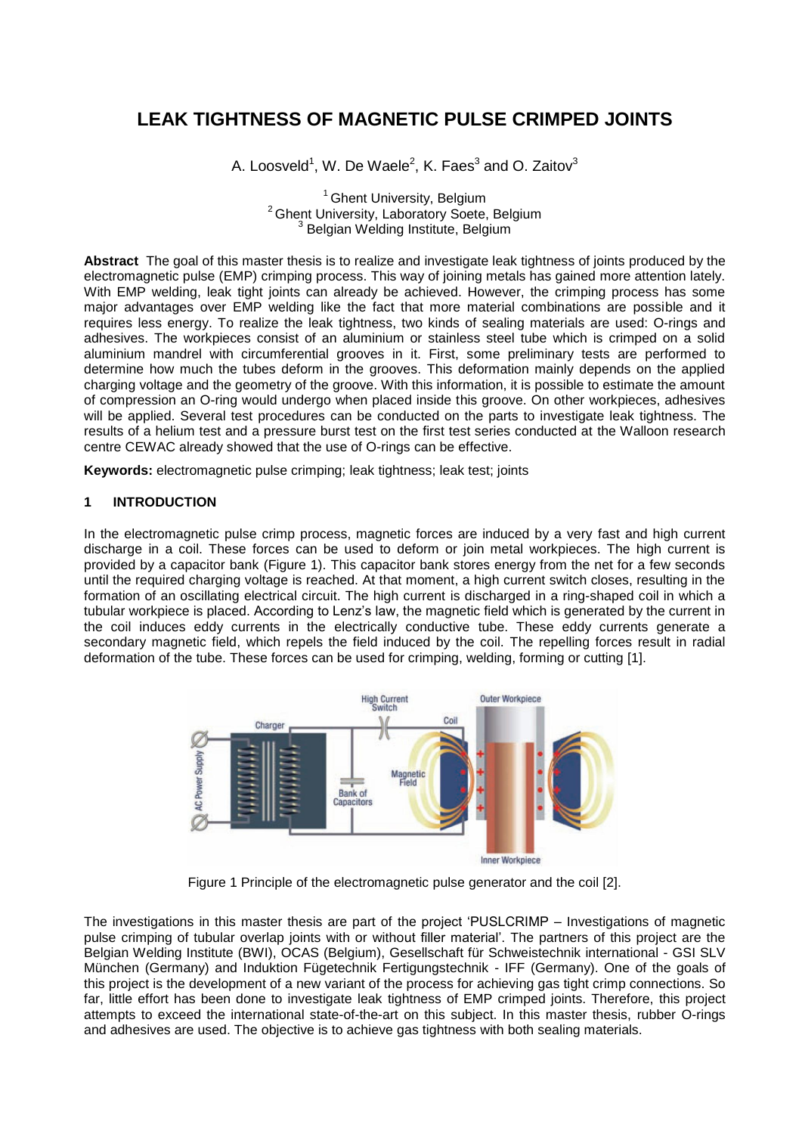# **LEAK TIGHTNESS OF MAGNETIC PULSE CRIMPED JOINTS**

A. Loosveld<sup>1</sup>, W. De Waele<sup>2</sup>, K. Faes<sup>3</sup> and O. Zaitov<sup>3</sup>

<sup>1</sup> Ghent University, Belgium <sup>2</sup> Ghent University, Laboratory Soete, Belgium <sup>3</sup> Belgian Welding Institute, Belgium

**Abstract** The goal of this master thesis is to realize and investigate leak tightness of joints produced by the electromagnetic pulse (EMP) crimping process. This way of joining metals has gained more attention lately. With EMP welding, leak tight joints can already be achieved. However, the crimping process has some major advantages over EMP welding like the fact that more material combinations are possible and it requires less energy. To realize the leak tightness, two kinds of sealing materials are used: O-rings and adhesives. The workpieces consist of an aluminium or stainless steel tube which is crimped on a solid aluminium mandrel with circumferential grooves in it. First, some preliminary tests are performed to determine how much the tubes deform in the grooves. This deformation mainly depends on the applied charging voltage and the geometry of the groove. With this information, it is possible to estimate the amount of compression an O-ring would undergo when placed inside this groove. On other workpieces, adhesives will be applied. Several test procedures can be conducted on the parts to investigate leak tightness. The results of a helium test and a pressure burst test on the first test series conducted at the Walloon research centre CEWAC already showed that the use of O-rings can be effective.

**Keywords:** electromagnetic pulse crimping; leak tightness; leak test; joints

#### **1 INTRODUCTION**

In the electromagnetic pulse crimp process, magnetic forces are induced by a very fast and high current discharge in a coil. These forces can be used to deform or join metal workpieces. The high current is provided by a capacitor bank [\(Figure 1\)](#page-0-0). This capacitor bank stores energy from the net for a few seconds until the required charging voltage is reached. At that moment, a high current switch closes, resulting in the formation of an oscillating electrical circuit. The high current is discharged in a ring-shaped coil in which a tubular workpiece is placed. According to Lenz"s law, the magnetic field which is generated by the current in the coil induces eddy currents in the electrically conductive tube. These eddy currents generate a secondary magnetic field, which repels the field induced by the coil. The repelling forces result in radial deformation of the tube. These forces can be used for crimping, welding, forming or cutting [1].



Figure 1 Principle of the electromagnetic pulse generator and the coil [2].

<span id="page-0-0"></span>The investigations in this master thesis are part of the project "PUSLCRIMP – Investigations of magnetic pulse crimping of tubular overlap joints with or without filler material". The partners of this project are the Belgian Welding Institute (BWI), OCAS (Belgium), Gesellschaft für Schweistechnik international - GSI SLV München (Germany) and Induktion Fügetechnik Fertigungstechnik - IFF (Germany). One of the goals of this project is the development of a new variant of the process for achieving gas tight crimp connections. So far, little effort has been done to investigate leak tightness of EMP crimped joints. Therefore, this project attempts to exceed the international state-of-the-art on this subject. In this master thesis, rubber O-rings and adhesives are used. The objective is to achieve gas tightness with both sealing materials.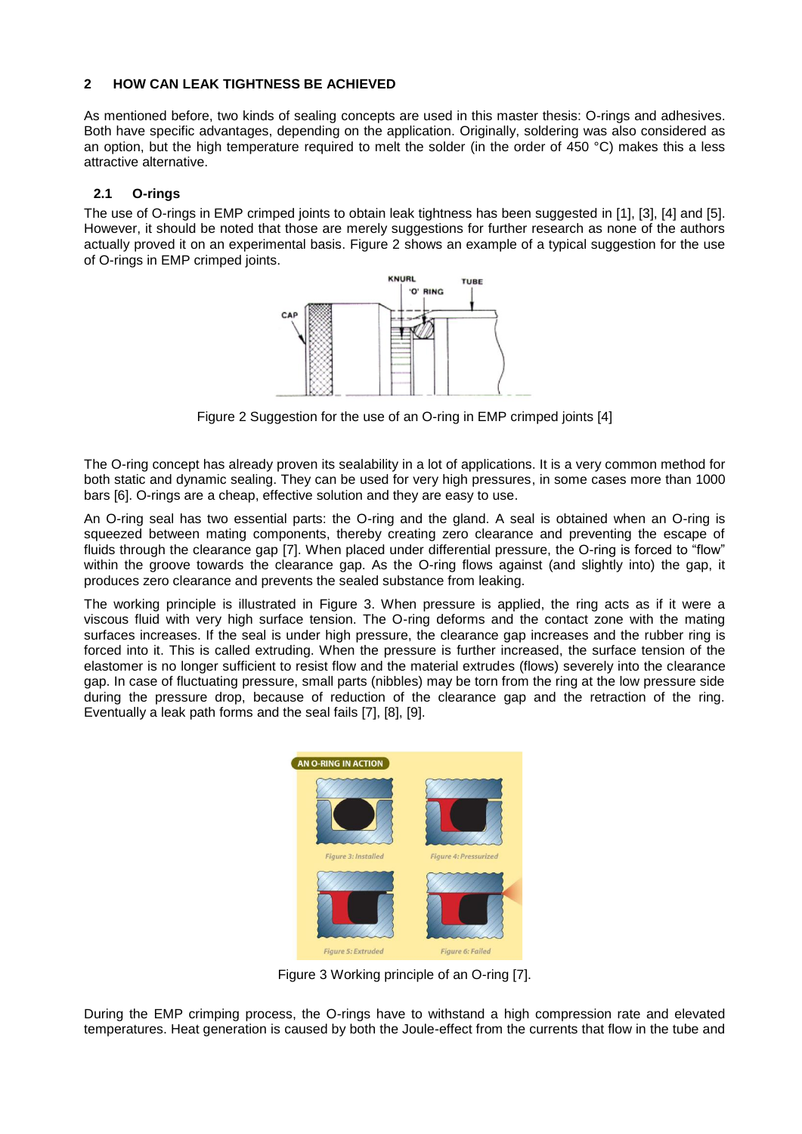# **2 HOW CAN LEAK TIGHTNESS BE ACHIEVED**

As mentioned before, two kinds of sealing concepts are used in this master thesis: O-rings and adhesives. Both have specific advantages, depending on the application. Originally, soldering was also considered as an option, but the high temperature required to melt the solder (in the order of 450 °C) makes this a less attractive alternative.

# **2.1 O-rings**

The use of O-rings in EMP crimped joints to obtain leak tightness has been suggested in [1], [3], [4] and [5]. However, it should be noted that those are merely suggestions for further research as none of the authors actually proved it on an experimental basis. [Figure 2](#page-1-0) shows an example of a typical suggestion for the use of O-rings in EMP crimped joints.



Figure 2 Suggestion for the use of an O-ring in EMP crimped joints [4]

<span id="page-1-0"></span>The O-ring concept has already proven its sealability in a lot of applications. It is a very common method for both static and dynamic sealing. They can be used for very high pressures, in some cases more than 1000 bars [6]. O-rings are a cheap, effective solution and they are easy to use.

An O-ring seal has two essential parts: the O-ring and the gland. A seal is obtained when an O-ring is squeezed between mating components, thereby creating zero clearance and preventing the escape of fluids through the clearance gap [7]. When placed under differential pressure, the O-ring is forced to "flow" within the groove towards the clearance gap. As the O-ring flows against (and slightly into) the gap, it produces zero clearance and prevents the sealed substance from leaking.

The working principle is illustrated in [Figure 3.](#page-1-1) When pressure is applied, the ring acts as if it were a viscous fluid with very high surface tension. The O-ring deforms and the contact zone with the mating surfaces increases. If the seal is under high pressure, the clearance gap increases and the rubber ring is forced into it. This is called extruding. When the pressure is further increased, the surface tension of the elastomer is no longer sufficient to resist flow and the material extrudes (flows) severely into the clearance gap. In case of fluctuating pressure, small parts (nibbles) may be torn from the ring at the low pressure side during the pressure drop, because of reduction of the clearance gap and the retraction of the ring. Eventually a leak path forms and the seal fails [7], [8], [9].



Figure 3 Working principle of an O-ring [7].

<span id="page-1-1"></span>During the EMP crimping process, the O-rings have to withstand a high compression rate and elevated temperatures. Heat generation is caused by both the Joule-effect from the currents that flow in the tube and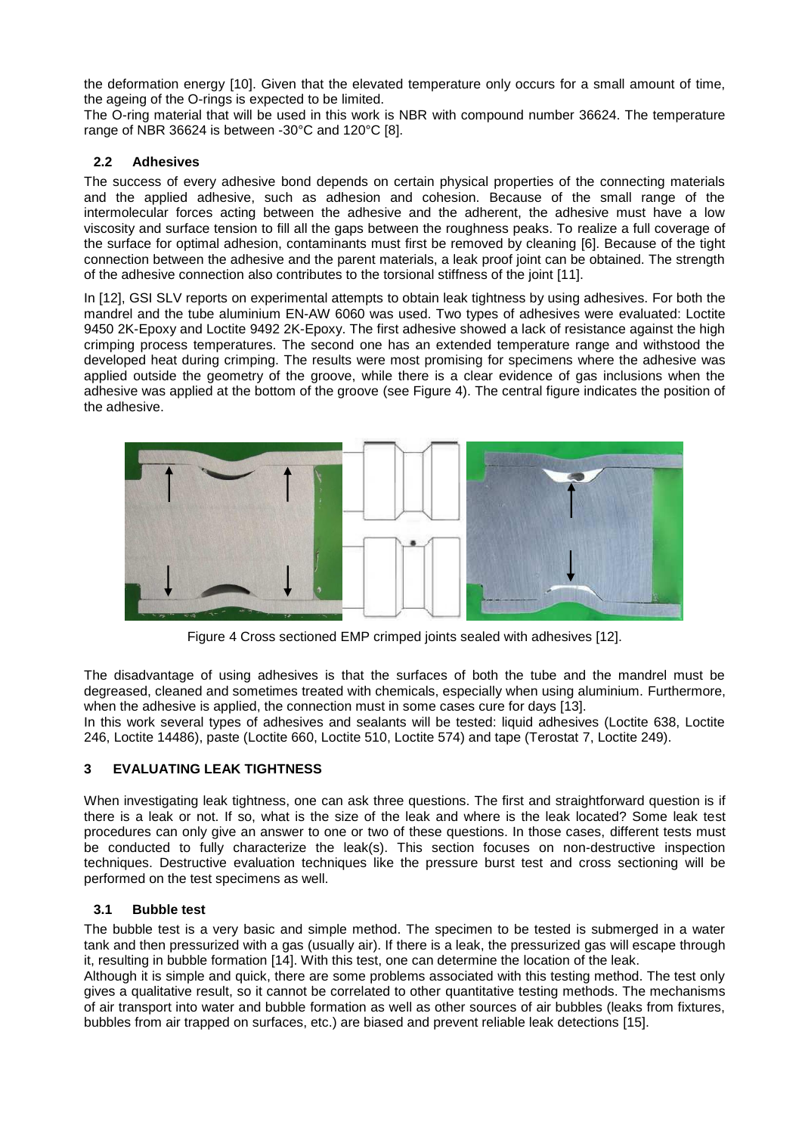the deformation energy [10]. Given that the elevated temperature only occurs for a small amount of time, the ageing of the O-rings is expected to be limited.

The O-ring material that will be used in this work is NBR with compound number 36624. The temperature range of NBR 36624 is between -30°C and 120°C [8].

# **2.2 Adhesives**

The success of every adhesive bond depends on certain physical properties of the connecting materials and the applied adhesive, such as adhesion and cohesion. Because of the small range of the intermolecular forces acting between the adhesive and the adherent, the adhesive must have a low viscosity and surface tension to fill all the gaps between the roughness peaks. To realize a full coverage of the surface for optimal adhesion, contaminants must first be removed by cleaning [6]. Because of the tight connection between the adhesive and the parent materials, a leak proof joint can be obtained. The strength of the adhesive connection also contributes to the torsional stiffness of the joint [11].

In [12], GSI SLV reports on experimental attempts to obtain leak tightness by using adhesives. For both the mandrel and the tube aluminium EN-AW 6060 was used. Two types of adhesives were evaluated: Loctite 9450 2K-Epoxy and Loctite 9492 2K-Epoxy. The first adhesive showed a lack of resistance against the high crimping process temperatures. The second one has an extended temperature range and withstood the developed heat during crimping. The results were most promising for specimens where the adhesive was applied outside the geometry of the groove, while there is a clear evidence of gas inclusions when the adhesive was applied at the bottom of the groove (see [Figure 4\)](#page-2-0). The central figure indicates the position of the adhesive.



Figure 4 Cross sectioned EMP crimped joints sealed with adhesives [12].

<span id="page-2-0"></span>The disadvantage of using adhesives is that the surfaces of both the tube and the mandrel must be degreased, cleaned and sometimes treated with chemicals, especially when using aluminium. Furthermore, when the adhesive is applied, the connection must in some cases cure for days [13].

In this work several types of adhesives and sealants will be tested: liquid adhesives (Loctite 638, Loctite 246, Loctite 14486), paste (Loctite 660, Loctite 510, Loctite 574) and tape (Terostat 7, Loctite 249).

# **3 EVALUATING LEAK TIGHTNESS**

When investigating leak tightness, one can ask three questions. The first and straightforward question is if there is a leak or not. If so, what is the size of the leak and where is the leak located? Some leak test procedures can only give an answer to one or two of these questions. In those cases, different tests must be conducted to fully characterize the leak(s). This section focuses on non-destructive inspection techniques. Destructive evaluation techniques like the pressure burst test and cross sectioning will be performed on the test specimens as well.

#### **3.1 Bubble test**

The bubble test is a very basic and simple method. The specimen to be tested is submerged in a water tank and then pressurized with a gas (usually air). If there is a leak, the pressurized gas will escape through it, resulting in bubble formation [14]. With this test, one can determine the location of the leak.

Although it is simple and quick, there are some problems associated with this testing method. The test only gives a qualitative result, so it cannot be correlated to other quantitative testing methods. The mechanisms of air transport into water and bubble formation as well as other sources of air bubbles (leaks from fixtures, bubbles from air trapped on surfaces, etc.) are biased and prevent reliable leak detections [15].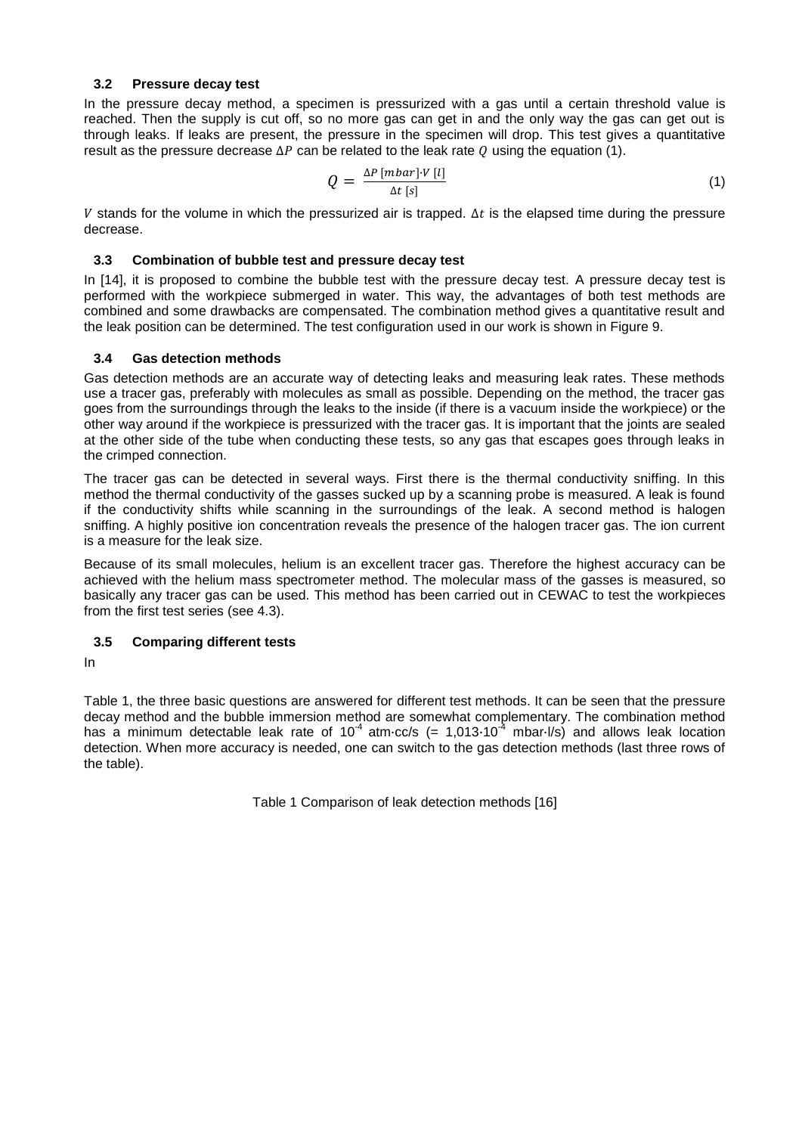#### **3.2 Pressure decay test**

In the pressure decay method, a specimen is pressurized with a gas until a certain threshold value is reached. Then the supply is cut off, so no more gas can get in and the only way the gas can get out is through leaks. If leaks are present, the pressure in the specimen will drop. This test gives a quantitative result as the pressure decrease  $\Delta P$  can be related to the leak rate Q using the equation (1).

$$
Q = \frac{\Delta P \left[ mbar \right] \cdot V \left[ l \right]}{\Delta t \left[ s \right]} \tag{1}
$$

V stands for the volume in which the pressurized air is trapped.  $\Delta t$  is the elapsed time during the pressure decrease.

#### **3.3 Combination of bubble test and pressure decay test**

In [14], it is proposed to combine the bubble test with the pressure decay test. A pressure decay test is performed with the workpiece submerged in water. This way, the advantages of both test methods are combined and some drawbacks are compensated. The combination method gives a quantitative result and the leak position can be determined. The test configuration used in our work is shown in [Figure 9.](#page-6-0)

#### **3.4 Gas detection methods**

Gas detection methods are an accurate way of detecting leaks and measuring leak rates. These methods use a tracer gas, preferably with molecules as small as possible. Depending on the method, the tracer gas goes from the surroundings through the leaks to the inside (if there is a vacuum inside the workpiece) or the other way around if the workpiece is pressurized with the tracer gas. It is important that the joints are sealed at the other side of the tube when conducting these tests, so any gas that escapes goes through leaks in the crimped connection.

The tracer gas can be detected in several ways. First there is the thermal conductivity sniffing. In this method the thermal conductivity of the gasses sucked up by a scanning probe is measured. A leak is found if the conductivity shifts while scanning in the surroundings of the leak. A second method is halogen sniffing. A highly positive ion concentration reveals the presence of the halogen tracer gas. The ion current is a measure for the leak size.

Because of its small molecules, helium is an excellent tracer gas. Therefore the highest accuracy can be achieved with the helium mass spectrometer method. The molecular mass of the gasses is measured, so basically any tracer gas can be used. This method has been carried out in CEWAC to test the workpieces from the first test series (see 4.3).

# **3.5 Comparing different tests**

[In](#page-3-0) 

<span id="page-3-0"></span>[Table 1,](#page-3-0) the three basic questions are answered for different test methods. It can be seen that the pressure decay method and the bubble immersion method are somewhat complementary. The combination method has a minimum detectable leak rate of 10<sup>-4</sup> atm·cc/s (= 1,013·10<sup>-4</sup> mbar·l/s) and allows leak location detection. When more accuracy is needed, one can switch to the gas detection methods (last three rows of the table).

Table 1 Comparison of leak detection methods [16]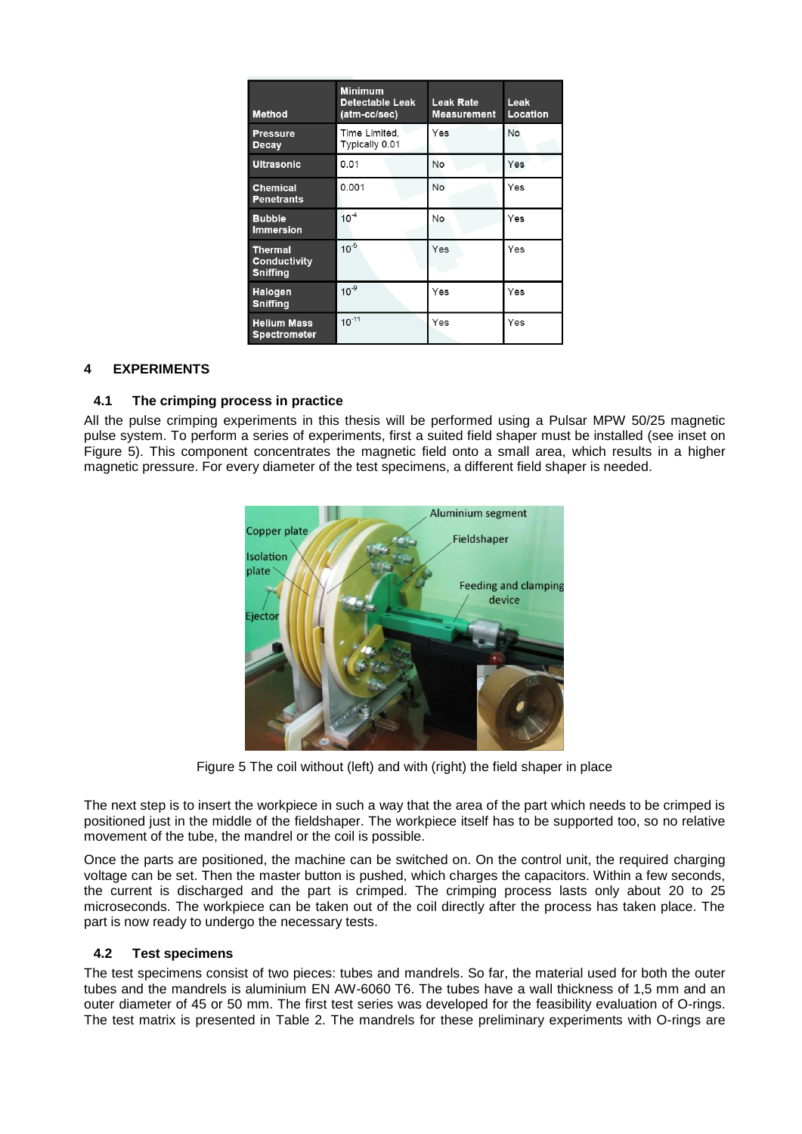| <b>Method</b>                                     | <b>Minimum</b><br><b>Detectable Leak</b><br>(atm-cc/sec) | <b>Leak Rate</b><br><b>Measurement</b> | Leak<br>Location |
|---------------------------------------------------|----------------------------------------------------------|----------------------------------------|------------------|
| <b>Pressure</b><br>Decay                          | Time Limited,<br>Typically 0.01                          | Yes                                    | No               |
| <b>Ultrasonic</b>                                 | 0.01                                                     | No                                     | Yes              |
| <b>Chemical</b><br><b>Penetrants</b>              | 0.001                                                    | No                                     | Yes              |
| <b>Bubble</b><br><b>Immersion</b>                 | $10^{-4}$                                                | No                                     | Yes              |
| <b>Thermal</b><br>Conductivity<br><b>Sniffing</b> | $10^{-5}$                                                | Yes                                    | Yes              |
| Halogen<br><b>Sniffing</b>                        | 10 <sup>9</sup>                                          | Yes                                    | Yes              |
| <b>Helium Mass</b><br><b>Spectrometer</b>         | $10^{-11}$                                               | Yes                                    | Yes              |

# **4 EXPERIMENTS**

#### **4.1 The crimping process in practice**

All the pulse crimping experiments in this thesis will be performed using a Pulsar MPW 50/25 magnetic pulse system. To perform a series of experiments, first a suited field shaper must be installed (see inset on [Figure 5\)](#page-4-0). This component concentrates the magnetic field onto a small area, which results in a higher magnetic pressure. For every diameter of the test specimens, a different field shaper is needed.



Figure 5 The coil without (left) and with (right) the field shaper in place

<span id="page-4-0"></span>The next step is to insert the workpiece in such a way that the area of the part which needs to be crimped is positioned just in the middle of the fieldshaper. The workpiece itself has to be supported too, so no relative movement of the tube, the mandrel or the coil is possible.

Once the parts are positioned, the machine can be switched on. On the control unit, the required charging voltage can be set. Then the master button is pushed, which charges the capacitors. Within a few seconds, the current is discharged and the part is crimped. The crimping process lasts only about 20 to 25 microseconds. The workpiece can be taken out of the coil directly after the process has taken place. The part is now ready to undergo the necessary tests.

#### **4.2 Test specimens**

The test specimens consist of two pieces: tubes and mandrels. So far, the material used for both the outer tubes and the mandrels is aluminium EN AW-6060 T6. The tubes have a wall thickness of 1,5 mm and an outer diameter of 45 or 50 mm. The first test series was developed for the feasibility evaluation of O-rings. The test matrix is presented in [Table 2.](#page-5-0) The mandrels for these preliminary experiments with O-rings are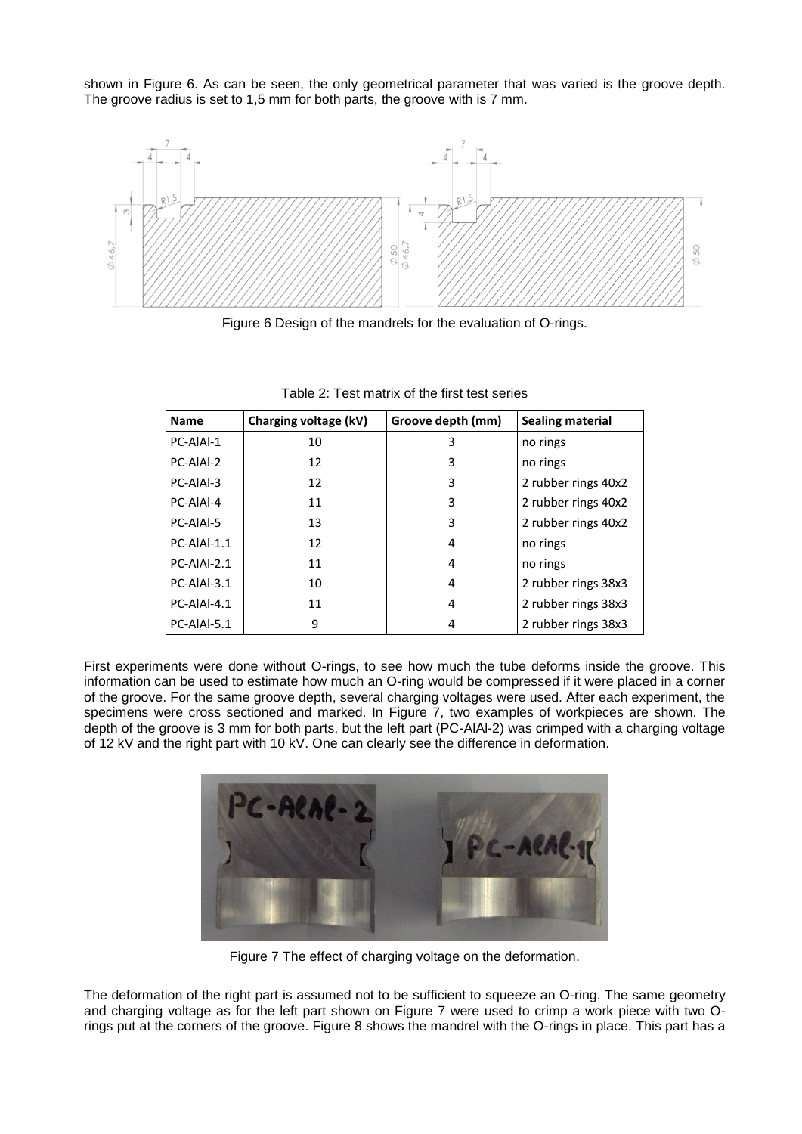shown in [Figure 6.](#page-5-1) As can be seen, the only geometrical parameter that was varied is the groove depth. The groove radius is set to 1,5 mm for both parts, the groove with is 7 mm.



Figure 6 Design of the mandrels for the evaluation of O-rings.

<span id="page-5-1"></span><span id="page-5-0"></span>

| <b>Name</b> | Charging voltage (kV) | Groove depth (mm) | <b>Sealing material</b> |
|-------------|-----------------------|-------------------|-------------------------|
| PC-AIAI-1   | 10                    | 3                 | no rings                |
| PC-AIAI-2   | 12                    | 3                 | no rings                |
| PC-AIAI-3   | 12                    | 3                 | 2 rubber rings 40x2     |
| PC-AIAI-4   | 11                    | 3                 | 2 rubber rings 40x2     |
| PC-AIAI-5   | 13                    | 3                 | 2 rubber rings 40x2     |
| PC-AIAI-1.1 | 12                    | 4                 | no rings                |
| PC-AIAI-2.1 | 11                    | 4                 | no rings                |
| PC-AIAI-3.1 | 10                    | 4                 | 2 rubber rings 38x3     |
| PC-AIAI-4.1 | 11                    | 4                 | 2 rubber rings 38x3     |
| PC-AIAI-5.1 | 9                     | 4                 | 2 rubber rings 38x3     |

Table 2: Test matrix of the first test series

First experiments were done without O-rings, to see how much the tube deforms inside the groove. This information can be used to estimate how much an O-ring would be compressed if it were placed in a corner of the groove. For the same groove depth, several charging voltages were used. After each experiment, the specimens were cross sectioned and marked. In [Figure 7,](#page-5-2) two examples of workpieces are shown. The depth of the groove is 3 mm for both parts, but the left part (PC-AlAl-2) was crimped with a charging voltage of 12 kV and the right part with 10 kV. One can clearly see the difference in deformation.



Figure 7 The effect of charging voltage on the deformation.

<span id="page-5-2"></span>The deformation of the right part is assumed not to be sufficient to squeeze an O-ring. The same geometry and charging voltage as for the left part shown on [Figure 7](#page-5-2) were used to crimp a work piece with two Orings put at the corners of the groove. [Figure 8](#page-6-1) shows the mandrel with the O-rings in place. This part has a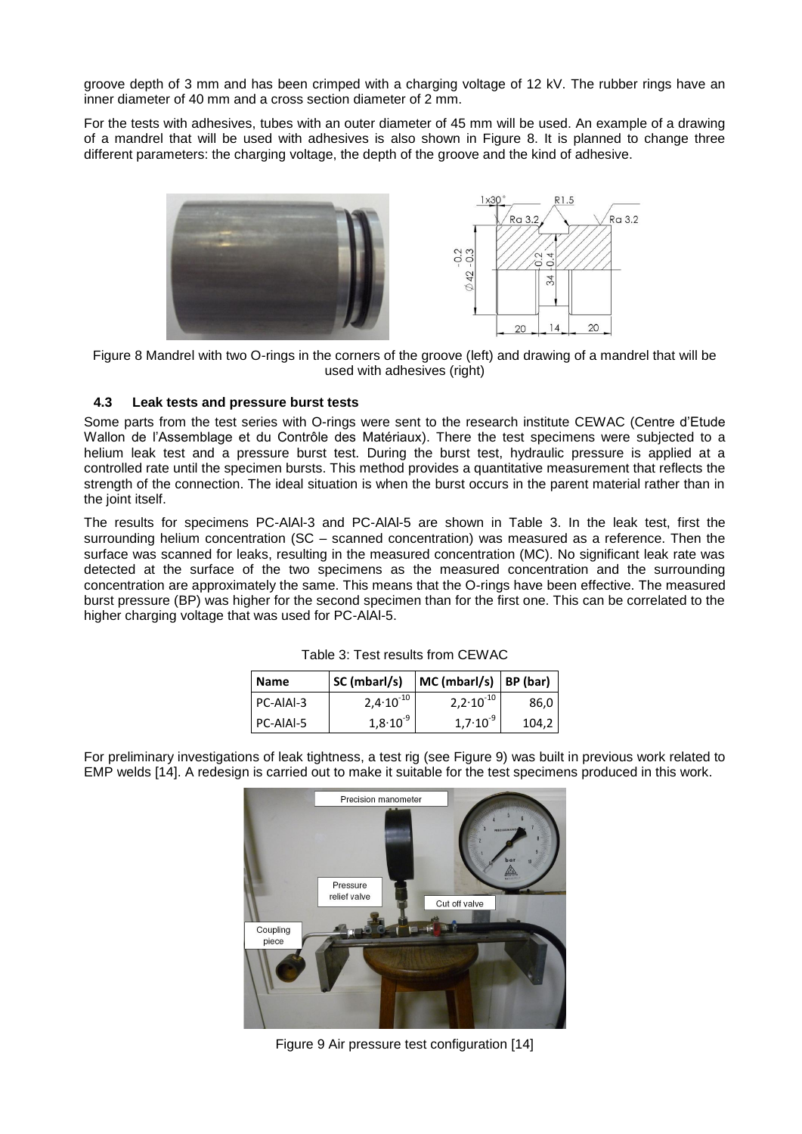groove depth of 3 mm and has been crimped with a charging voltage of 12 kV. The rubber rings have an inner diameter of 40 mm and a cross section diameter of 2 mm.

For the tests with adhesives, tubes with an outer diameter of 45 mm will be used. An example of a drawing of a mandrel that will be used with adhesives is also shown in [Figure 8.](#page-6-1) It is planned to change three different parameters: the charging voltage, the depth of the groove and the kind of adhesive.



<span id="page-6-1"></span>Figure 8 Mandrel with two O-rings in the corners of the groove (left) and drawing of a mandrel that will be used with adhesives (right)

# **4.3 Leak tests and pressure burst tests**

Some parts from the test series with O-rings were sent to the research institute CEWAC (Centre d"Etude Wallon de l"Assemblage et du Contrôle des Matériaux). There the test specimens were subjected to a helium leak test and a pressure burst test. During the burst test, hydraulic pressure is applied at a controlled rate until the specimen bursts. This method provides a quantitative measurement that reflects the strength of the connection. The ideal situation is when the burst occurs in the parent material rather than in the joint itself.

The results for specimens PC-AlAl-3 and PC-AlAl-5 are shown in [Table 3.](#page-6-2) In the leak test, first the surrounding helium concentration (SC – scanned concentration) was measured as a reference. Then the surface was scanned for leaks, resulting in the measured concentration (MC). No significant leak rate was detected at the surface of the two specimens as the measured concentration and the surrounding concentration are approximately the same. This means that the O-rings have been effective. The measured burst pressure (BP) was higher for the second specimen than for the first one. This can be correlated to the higher charging voltage that was used for PC-AIAI-5.

| <b>Name</b> | SC (mbarl/s)   | $MC (mbar/s)$ BP (bar) |       |
|-------------|----------------|------------------------|-------|
| PC-AIAI-3   | $2,4.10^{-10}$ | $2,2.10^{-10}$         | 86,0  |
| l PC-AIAI-5 | $1,8.10^{9}$   | $1,7.10^{9}$           | 104,2 |

Table 3: Test results from CEWAC

<span id="page-6-2"></span><span id="page-6-0"></span>For preliminary investigations of leak tightness, a test rig (see [Figure 9\)](#page-6-0) was built in previous work related to EMP welds [14]. A redesign is carried out to make it suitable for the test specimens produced in this work.



Figure 9 Air pressure test configuration [14]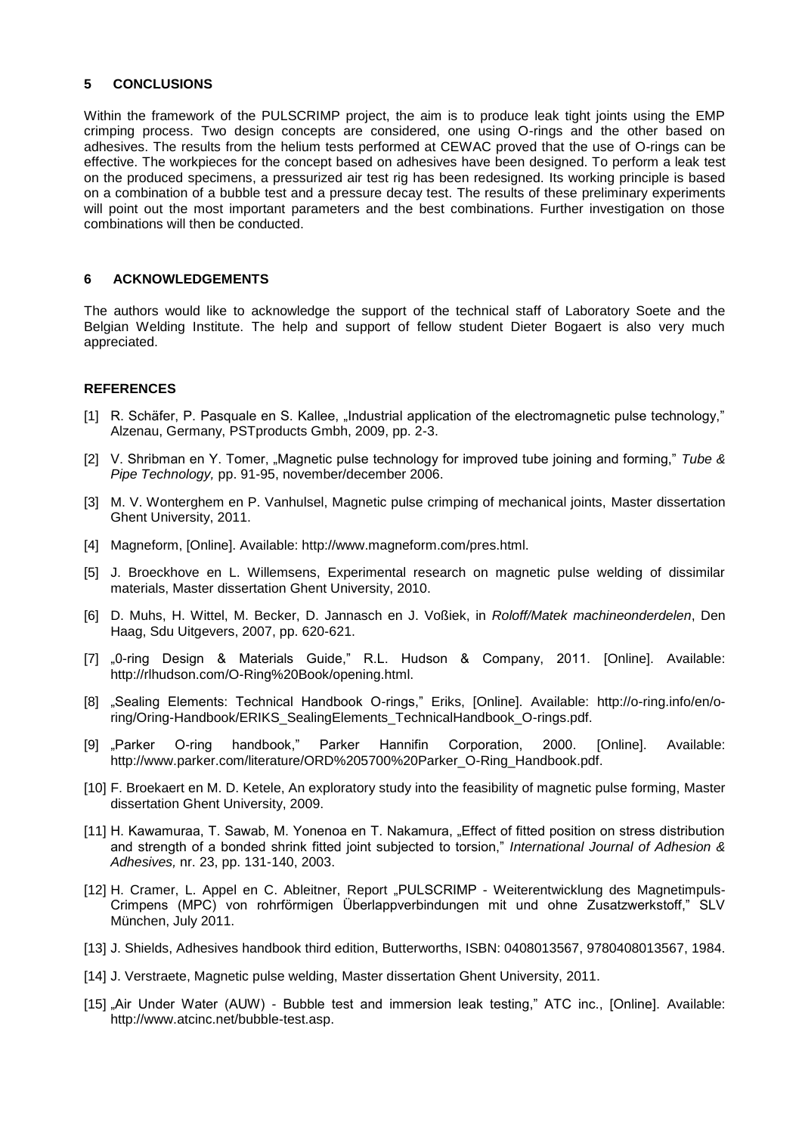#### **5 CONCLUSIONS**

Within the framework of the PULSCRIMP project, the aim is to produce leak tight joints using the EMP crimping process. Two design concepts are considered, one using O-rings and the other based on adhesives. The results from the helium tests performed at CEWAC proved that the use of O-rings can be effective. The workpieces for the concept based on adhesives have been designed. To perform a leak test on the produced specimens, a pressurized air test rig has been redesigned. Its working principle is based on a combination of a bubble test and a pressure decay test. The results of these preliminary experiments will point out the most important parameters and the best combinations. Further investigation on those combinations will then be conducted.

#### **6 ACKNOWLEDGEMENTS**

The authors would like to acknowledge the support of the technical staff of Laboratory Soete and the Belgian Welding Institute. The help and support of fellow student Dieter Bogaert is also very much appreciated.

#### **REFERENCES**

- [1] R. Schäfer, P. Pasquale en S. Kallee, "Industrial application of the electromagnetic pulse technology," Alzenau, Germany, PSTproducts Gmbh, 2009, pp. 2-3.
- [2] V. Shribman en Y. Tomer, "Magnetic pulse technology for improved tube joining and forming," *Tube & Pipe Technology,* pp. 91-95, november/december 2006.
- [3] M. V. Wonterghem en P. Vanhulsel, Magnetic pulse crimping of mechanical joints, Master dissertation Ghent University, 2011.
- [4] Magneform, [Online]. Available: http://www.magneform.com/pres.html.
- [5] J. Broeckhove en L. Willemsens, Experimental research on magnetic pulse welding of dissimilar materials, Master dissertation Ghent University, 2010.
- [6] D. Muhs, H. Wittel, M. Becker, D. Jannasch en J. Voßiek, in *Roloff/Matek machineonderdelen*, Den Haag, Sdu Uitgevers, 2007, pp. 620-621.
- [7] "O-ring Design & Materials Guide," R.L. Hudson & Company, 2011. [Online]. Available: http://rlhudson.com/O-Ring%20Book/opening.html.
- [8] "Sealing Elements: Technical Handbook O-rings," Eriks, [Online]. Available: http://o-ring.info/en/oring/Oring-Handbook/ERIKS\_SealingElements\_TechnicalHandbook\_O-rings.pdf.
- [9] "Parker O-ring handbook," Parker Hannifin Corporation, 2000. [Online]. Available: http://www.parker.com/literature/ORD%205700%20Parker\_O-Ring\_Handbook.pdf.
- [10] F. Broekaert en M. D. Ketele, An exploratory study into the feasibility of magnetic pulse forming, Master dissertation Ghent University, 2009.
- [11] H. Kawamuraa, T. Sawab, M. Yonenoa en T. Nakamura, "Effect of fitted position on stress distribution and strength of a bonded shrink fitted joint subjected to torsion," *International Journal of Adhesion & Adhesives,* nr. 23, pp. 131-140, 2003.
- [12] H. Cramer, L. Appel en C. Ableitner, Report "PULSCRIMP Weiterentwicklung des Magnetimpuls-Crimpens (MPC) von rohrförmigen Überlappverbindungen mit und ohne Zusatzwerkstoff," SLV München, July 2011.
- [13] J. Shields, Adhesives handbook third edition, Butterworths, ISBN: 0408013567, 9780408013567, 1984.
- [14] J. Verstraete, Magnetic pulse welding, Master dissertation Ghent University, 2011.
- [15] "Air Under Water (AUW) Bubble test and immersion leak testing," ATC inc., [Online]. Available: http://www.atcinc.net/bubble-test.asp.